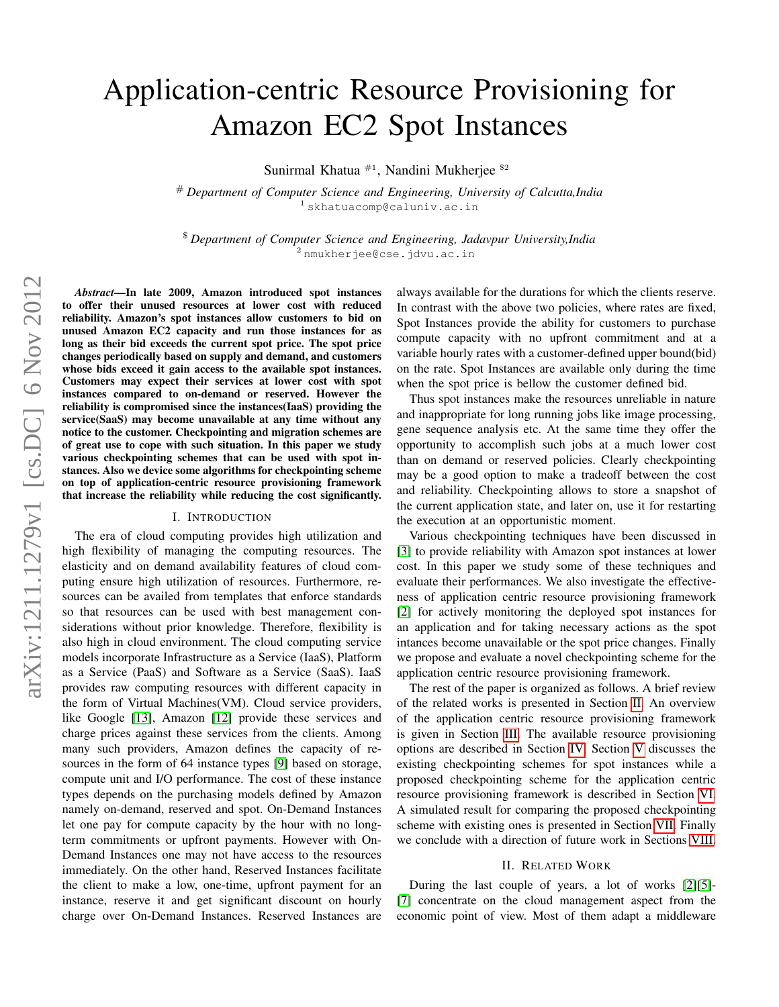# Application-centric Resource Provisioning for Amazon EC2 Spot Instances

Sunirmal Khatua <sup>#1</sup>, Nandini Mukherjee <sup>\$2</sup>

# *Department of Computer Science and Engineering, University of Calcutta,India* <sup>1</sup> skhatuacomp@caluniv.ac.in

\$ *Department of Computer Science and Engineering, Jadavpur University,India* <sup>2</sup> nmukherjee@cse.jdvu.ac.in

*Abstract*—In late 2009, Amazon introduced spot instances to offer their unused resources at lower cost with reduced reliability. Amazon's spot instances allow customers to bid on unused Amazon EC2 capacity and run those instances for as long as their bid exceeds the current spot price. The spot price changes periodically based on supply and demand, and customers whose bids exceed it gain access to the available spot instances. Customers may expect their services at lower cost with spot instances compared to on-demand or reserved. However the reliability is compromised since the instances(IaaS) providing the service(SaaS) may become unavailable at any time without any notice to the customer. Checkpointing and migration schemes are of great use to cope with such situation. In this paper we study various checkpointing schemes that can be used with spot instances. Also we device some algorithms for checkpointing scheme on top of application-centric resource provisioning framework that increase the reliability while reducing the cost significantly.

#### I. INTRODUCTION

The era of cloud computing provides high utilization and high flexibility of managing the computing resources. The elasticity and on demand availability features of cloud computing ensure high utilization of resources. Furthermore, resources can be availed from templates that enforce standards so that resources can be used with best management considerations without prior knowledge. Therefore, flexibility is also high in cloud environment. The cloud computing service models incorporate Infrastructure as a Service (IaaS), Platform as a Service (PaaS) and Software as a Service (SaaS). IaaS provides raw computing resources with different capacity in the form of Virtual Machines(VM). Cloud service providers, like Google [\[13\]](#page-7-0), Amazon [\[12\]](#page-7-1) provide these services and charge prices against these services from the clients. Among many such providers, Amazon defines the capacity of resources in the form of 64 instance types [\[9\]](#page-7-2) based on storage, compute unit and I/O performance. The cost of these instance types depends on the purchasing models defined by Amazon namely on-demand, reserved and spot. On-Demand Instances let one pay for compute capacity by the hour with no longterm commitments or upfront payments. However with On-Demand Instances one may not have access to the resources immediately. On the other hand, Reserved Instances facilitate the client to make a low, one-time, upfront payment for an instance, reserve it and get significant discount on hourly charge over On-Demand Instances. Reserved Instances are always available for the durations for which the clients reserve. In contrast with the above two policies, where rates are fixed, Spot Instances provide the ability for customers to purchase compute capacity with no upfront commitment and at a variable hourly rates with a customer-defined upper bound(bid) on the rate. Spot Instances are available only during the time when the spot price is bellow the customer defined bid.

Thus spot instances make the resources unreliable in nature and inappropriate for long running jobs like image processing, gene sequence analysis etc. At the same time they offer the opportunity to accomplish such jobs at a much lower cost than on demand or reserved policies. Clearly checkpointing may be a good option to make a tradeoff between the cost and reliability. Checkpointing allows to store a snapshot of the current application state, and later on, use it for restarting the execution at an opportunistic moment.

Various checkpointing techniques have been discussed in [\[3\]](#page-7-3) to provide reliability with Amazon spot instances at lower cost. In this paper we study some of these techniques and evaluate their performances. We also investigate the effectiveness of application centric resource provisioning framework [\[2\]](#page-7-4) for actively monitoring the deployed spot instances for an application and for taking necessary actions as the spot intances become unavailable or the spot price changes. Finally we propose and evaluate a novel checkpointing scheme for the application centric resource provisioning framework.

The rest of the paper is organized as follows. A brief review of the related works is presented in Section [II.](#page-0-0) An overview of the application centric resource provisioning framework is given in Section [III.](#page-1-0) The available resource provisioning options are described in Section [IV.](#page-3-0) Section [V](#page-3-1) discusses the existing checkpointing schemes for spot instances while a proposed checkpointing scheme for the application centric resource provisioning framework is described in Section [VI.](#page-3-2) A simulated result for comparing the proposed checkpointing scheme with existing ones is presented in Section [VII.](#page-5-0) Finally we conclude with a direction of future work in Sections [VIII.](#page-7-5)

#### II. RELATED WORK

<span id="page-0-0"></span>During the last couple of years, a lot of works [\[2\]](#page-7-4)[\[5\]](#page-7-6)- [\[7\]](#page-7-7) concentrate on the cloud management aspect from the economic point of view. Most of them adapt a middleware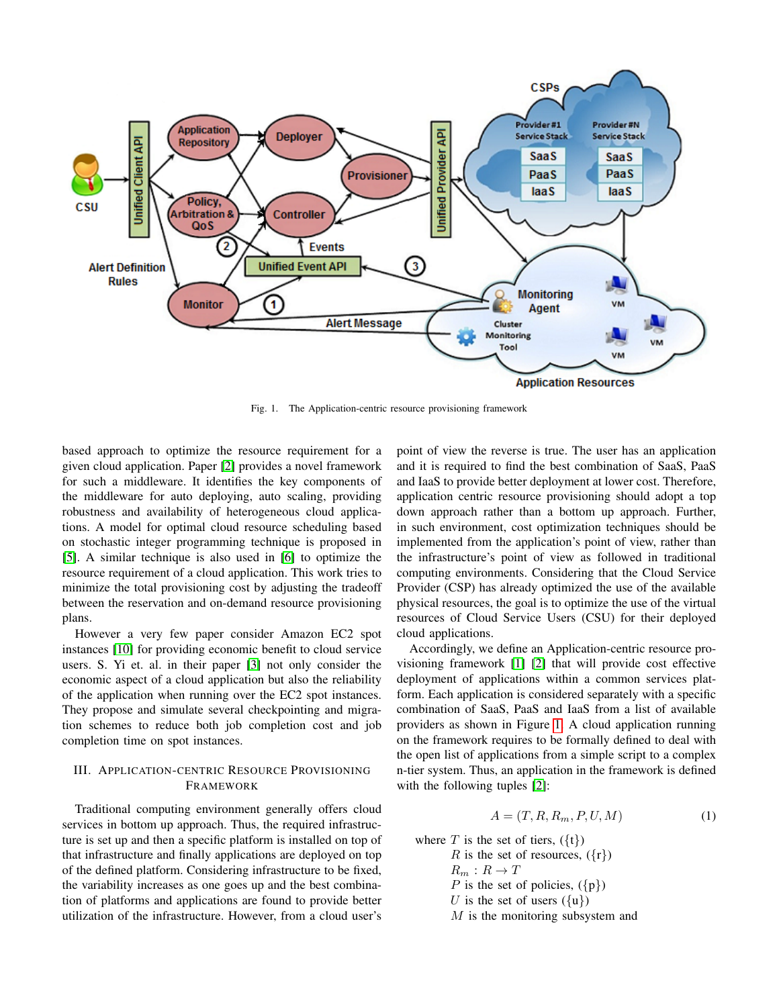

<span id="page-1-1"></span>Fig. 1. The Application-centric resource provisioning framework

based approach to optimize the resource requirement for a given cloud application. Paper [\[2\]](#page-7-4) provides a novel framework for such a middleware. It identifies the key components of the middleware for auto deploying, auto scaling, providing robustness and availability of heterogeneous cloud applications. A model for optimal cloud resource scheduling based on stochastic integer programming technique is proposed in [\[5\]](#page-7-6). A similar technique is also used in [\[6\]](#page-7-8) to optimize the resource requirement of a cloud application. This work tries to minimize the total provisioning cost by adjusting the tradeoff between the reservation and on-demand resource provisioning plans.

However a very few paper consider Amazon EC2 spot instances [\[10\]](#page-7-9) for providing economic benefit to cloud service users. S. Yi et. al. in their paper [\[3\]](#page-7-3) not only consider the economic aspect of a cloud application but also the reliability of the application when running over the EC2 spot instances. They propose and simulate several checkpointing and migration schemes to reduce both job completion cost and job completion time on spot instances.

## <span id="page-1-0"></span>III. APPLICATION-CENTRIC RESOURCE PROVISIONING FRAMEWORK

Traditional computing environment generally offers cloud services in bottom up approach. Thus, the required infrastructure is set up and then a specific platform is installed on top of that infrastructure and finally applications are deployed on top of the defined platform. Considering infrastructure to be fixed, the variability increases as one goes up and the best combination of platforms and applications are found to provide better utilization of the infrastructure. However, from a cloud user's

point of view the reverse is true. The user has an application and it is required to find the best combination of SaaS, PaaS and IaaS to provide better deployment at lower cost. Therefore, application centric resource provisioning should adopt a top down approach rather than a bottom up approach. Further, in such environment, cost optimization techniques should be implemented from the application's point of view, rather than the infrastructure's point of view as followed in traditional computing environments. Considering that the Cloud Service Provider (CSP) has already optimized the use of the available physical resources, the goal is to optimize the use of the virtual resources of Cloud Service Users (CSU) for their deployed cloud applications.

Accordingly, we define an Application-centric resource provisioning framework [\[1\]](#page-7-10) [\[2\]](#page-7-4) that will provide cost effective deployment of applications within a common services platform. Each application is considered separately with a specific combination of SaaS, PaaS and IaaS from a list of available providers as shown in Figure [1.](#page-1-1) A cloud application running on the framework requires to be formally defined to deal with the open list of applications from a simple script to a complex n-tier system. Thus, an application in the framework is defined with the following tuples [\[2\]](#page-7-4):

<span id="page-1-2"></span>
$$
A = (T, R, R_m, P, U, M) \tag{1}
$$

where T is the set of tiers,  $({t})$ R is the set of resources,  $({r})$  $R_m: R \to T$ P is the set of policies,  $({p})$ 

U is the set of users  $({u})$ 

M is the monitoring subsystem and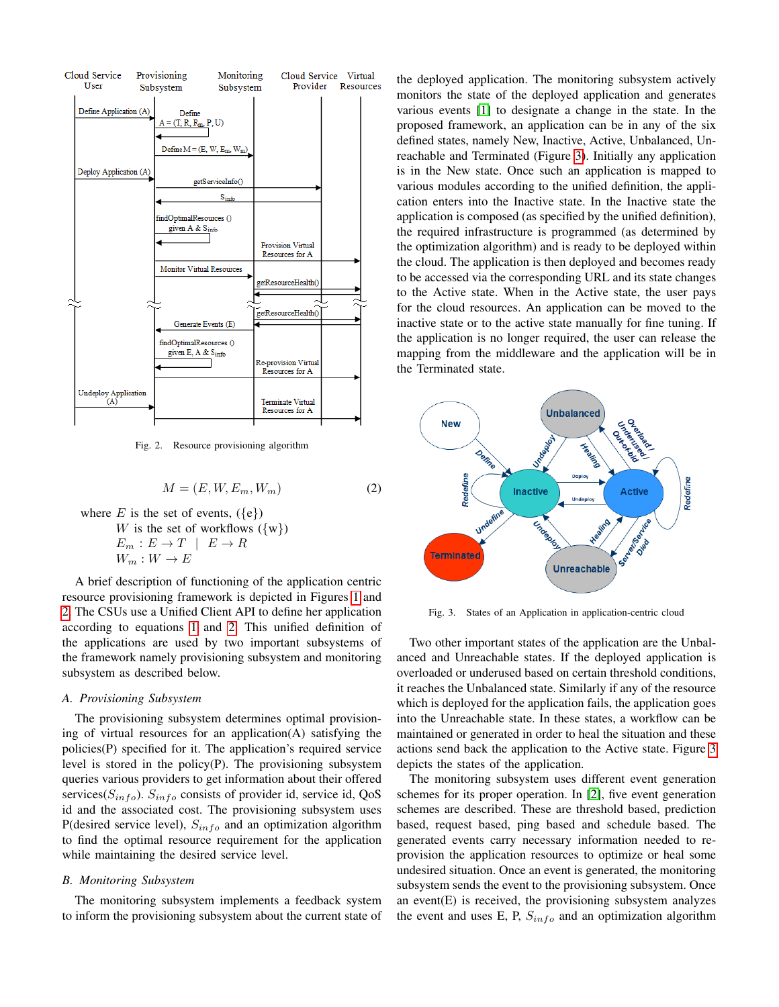

<span id="page-2-0"></span>Fig. 2. Resource provisioning algorithm

<span id="page-2-1"></span>
$$
M = (E, W, E_m, W_m)
$$
 (2)

where E is the set of events,  $({e})$ W is the set of workflows  $({w})$  $E_m : E \to T \mid E \to R$  $W_m: W \to E$ 

A brief description of functioning of the application centric resource provisioning framework is depicted in Figures [1](#page-1-1) and [2.](#page-2-0) The CSUs use a Unified Client API to define her application according to equations [1](#page-1-2) and [2.](#page-2-1) This unified definition of the applications are used by two important subsystems of the framework namely provisioning subsystem and monitoring subsystem as described below.

#### *A. Provisioning Subsystem*

The provisioning subsystem determines optimal provisioning of virtual resources for an application(A) satisfying the policies(P) specified for it. The application's required service level is stored in the policy $(P)$ . The provisioning subsystem queries various providers to get information about their offered services( $S_{info}$ ).  $S_{info}$  consists of provider id, service id, QoS id and the associated cost. The provisioning subsystem uses P(desired service level),  $S_{info}$  and an optimization algorithm to find the optimal resource requirement for the application while maintaining the desired service level.

#### *B. Monitoring Subsystem*

The monitoring subsystem implements a feedback system to inform the provisioning subsystem about the current state of the deployed application. The monitoring subsystem actively monitors the state of the deployed application and generates various events [\[1\]](#page-7-10) to designate a change in the state. In the proposed framework, an application can be in any of the six defined states, namely New, Inactive, Active, Unbalanced, Unreachable and Terminated (Figure [3\)](#page-2-2). Initially any application is in the New state. Once such an application is mapped to various modules according to the unified definition, the application enters into the Inactive state. In the Inactive state the application is composed (as specified by the unified definition), the required infrastructure is programmed (as determined by the optimization algorithm) and is ready to be deployed within the cloud. The application is then deployed and becomes ready to be accessed via the corresponding URL and its state changes to the Active state. When in the Active state, the user pays for the cloud resources. An application can be moved to the inactive state or to the active state manually for fine tuning. If the application is no longer required, the user can release the mapping from the middleware and the application will be in the Terminated state.



<span id="page-2-2"></span>Fig. 3. States of an Application in application-centric cloud

Two other important states of the application are the Unbalanced and Unreachable states. If the deployed application is overloaded or underused based on certain threshold conditions, it reaches the Unbalanced state. Similarly if any of the resource which is deployed for the application fails, the application goes into the Unreachable state. In these states, a workflow can be maintained or generated in order to heal the situation and these actions send back the application to the Active state. Figure [3](#page-2-2) depicts the states of the application.

The monitoring subsystem uses different event generation schemes for its proper operation. In [\[2\]](#page-7-4), five event generation schemes are described. These are threshold based, prediction based, request based, ping based and schedule based. The generated events carry necessary information needed to reprovision the application resources to optimize or heal some undesired situation. Once an event is generated, the monitoring subsystem sends the event to the provisioning subsystem. Once an event(E) is received, the provisioning subsystem analyzes the event and uses E, P,  $S_{info}$  and an optimization algorithm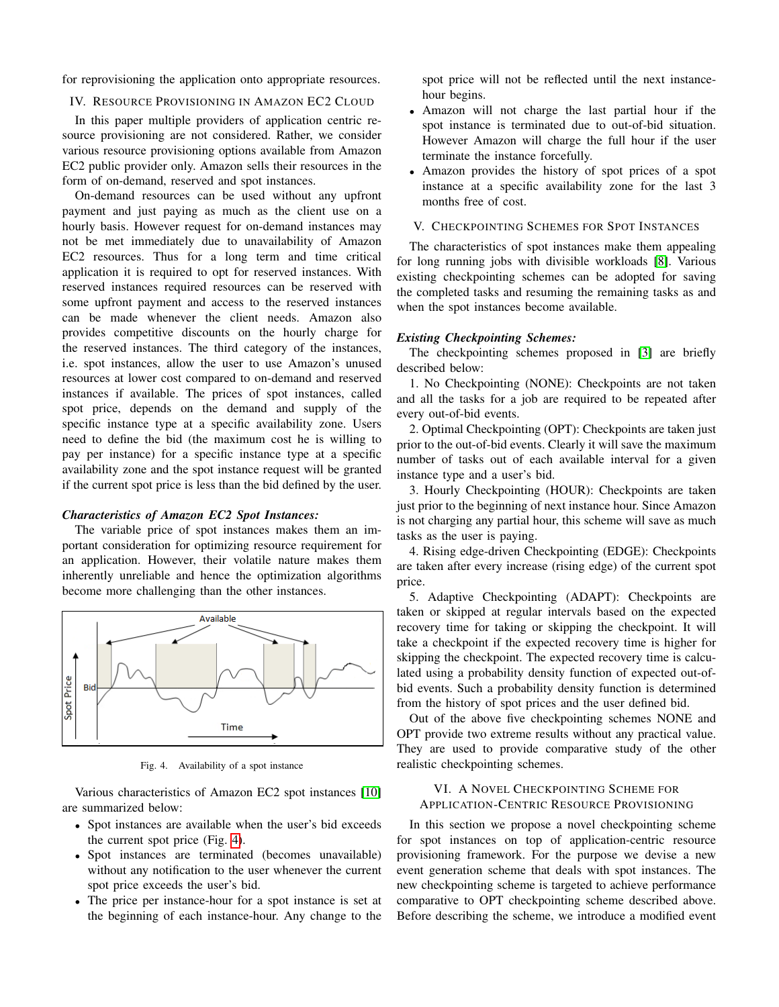for reprovisioning the application onto appropriate resources.

#### <span id="page-3-0"></span>IV. RESOURCE PROVISIONING IN AMAZON EC2 CLOUD

In this paper multiple providers of application centric resource provisioning are not considered. Rather, we consider various resource provisioning options available from Amazon EC2 public provider only. Amazon sells their resources in the form of on-demand, reserved and spot instances.

On-demand resources can be used without any upfront payment and just paying as much as the client use on a hourly basis. However request for on-demand instances may not be met immediately due to unavailability of Amazon EC2 resources. Thus for a long term and time critical application it is required to opt for reserved instances. With reserved instances required resources can be reserved with some upfront payment and access to the reserved instances can be made whenever the client needs. Amazon also provides competitive discounts on the hourly charge for the reserved instances. The third category of the instances, i.e. spot instances, allow the user to use Amazon's unused resources at lower cost compared to on-demand and reserved instances if available. The prices of spot instances, called spot price, depends on the demand and supply of the specific instance type at a specific availability zone. Users need to define the bid (the maximum cost he is willing to pay per instance) for a specific instance type at a specific availability zone and the spot instance request will be granted if the current spot price is less than the bid defined by the user.

#### *Characteristics of Amazon EC2 Spot Instances:*

The variable price of spot instances makes them an important consideration for optimizing resource requirement for an application. However, their volatile nature makes them inherently unreliable and hence the optimization algorithms become more challenging than the other instances.



<span id="page-3-3"></span>Fig. 4. Availability of a spot instance

Various characteristics of Amazon EC2 spot instances [\[10\]](#page-7-9) are summarized below:

- Spot instances are available when the user's bid exceeds the current spot price (Fig. [4\)](#page-3-3).
- Spot instances are terminated (becomes unavailable) without any notification to the user whenever the current spot price exceeds the user's bid.
- The price per instance-hour for a spot instance is set at the beginning of each instance-hour. Any change to the

spot price will not be reflected until the next instancehour begins.

- Amazon will not charge the last partial hour if the spot instance is terminated due to out-of-bid situation. However Amazon will charge the full hour if the user terminate the instance forcefully.
- Amazon provides the history of spot prices of a spot instance at a specific availability zone for the last 3 months free of cost.

## <span id="page-3-1"></span>V. CHECKPOINTING SCHEMES FOR SPOT INSTANCES

The characteristics of spot instances make them appealing for long running jobs with divisible workloads [\[8\]](#page-7-11). Various existing checkpointing schemes can be adopted for saving the completed tasks and resuming the remaining tasks as and when the spot instances become available.

#### *Existing Checkpointing Schemes:*

The checkpointing schemes proposed in [\[3\]](#page-7-3) are briefly described below:

1. No Checkpointing (NONE): Checkpoints are not taken and all the tasks for a job are required to be repeated after every out-of-bid events.

2. Optimal Checkpointing (OPT): Checkpoints are taken just prior to the out-of-bid events. Clearly it will save the maximum number of tasks out of each available interval for a given instance type and a user's bid.

3. Hourly Checkpointing (HOUR): Checkpoints are taken just prior to the beginning of next instance hour. Since Amazon is not charging any partial hour, this scheme will save as much tasks as the user is paying.

4. Rising edge-driven Checkpointing (EDGE): Checkpoints are taken after every increase (rising edge) of the current spot price.

5. Adaptive Checkpointing (ADAPT): Checkpoints are taken or skipped at regular intervals based on the expected recovery time for taking or skipping the checkpoint. It will take a checkpoint if the expected recovery time is higher for skipping the checkpoint. The expected recovery time is calculated using a probability density function of expected out-ofbid events. Such a probability density function is determined from the history of spot prices and the user defined bid.

Out of the above five checkpointing schemes NONE and OPT provide two extreme results without any practical value. They are used to provide comparative study of the other realistic checkpointing schemes.

## <span id="page-3-2"></span>VI. A NOVEL CHECKPOINTING SCHEME FOR APPLICATION-CENTRIC RESOURCE PROVISIONING

In this section we propose a novel checkpointing scheme for spot instances on top of application-centric resource provisioning framework. For the purpose we devise a new event generation scheme that deals with spot instances. The new checkpointing scheme is targeted to achieve performance comparative to OPT checkpointing scheme described above. Before describing the scheme, we introduce a modified event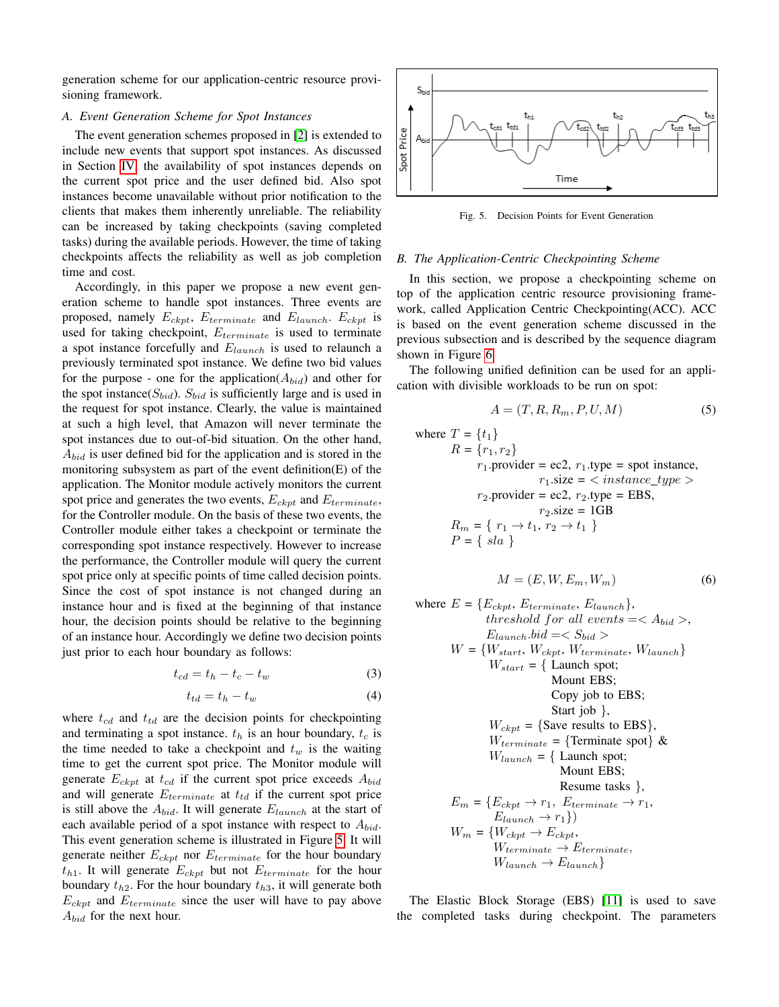generation scheme for our application-centric resource provisioning framework.

#### *A. Event Generation Scheme for Spot Instances*

The event generation schemes proposed in [\[2\]](#page-7-4) is extended to include new events that support spot instances. As discussed in Section [IV,](#page-3-0) the availability of spot instances depends on the current spot price and the user defined bid. Also spot instances become unavailable without prior notification to the clients that makes them inherently unreliable. The reliability can be increased by taking checkpoints (saving completed tasks) during the available periods. However, the time of taking checkpoints affects the reliability as well as job completion time and cost.

Accordingly, in this paper we propose a new event generation scheme to handle spot instances. Three events are proposed, namely  $E_{ckpt}$ ,  $E_{terminate}$  and  $E_{launch}$ .  $E_{ckpt}$  is used for taking checkpoint,  $E_{terminate}$  is used to terminate a spot instance forcefully and  $E_{launch}$  is used to relaunch a previously terminated spot instance. We define two bid values for the purpose - one for the application( $A_{bid}$ ) and other for the spot instance( $S_{bid}$ ).  $S_{bid}$  is sufficiently large and is used in the request for spot instance. Clearly, the value is maintained at such a high level, that Amazon will never terminate the spot instances due to out-of-bid situation. On the other hand,  $A_{bid}$  is user defined bid for the application and is stored in the monitoring subsystem as part of the event definition(E) of the application. The Monitor module actively monitors the current spot price and generates the two events,  $E_{ckpt}$  and  $E_{terminate}$ , for the Controller module. On the basis of these two events, the Controller module either takes a checkpoint or terminate the corresponding spot instance respectively. However to increase the performance, the Controller module will query the current spot price only at specific points of time called decision points. Since the cost of spot instance is not changed during an instance hour and is fixed at the beginning of that instance hour, the decision points should be relative to the beginning of an instance hour. Accordingly we define two decision points just prior to each hour boundary as follows:

<span id="page-4-1"></span>
$$
t_{cd} = t_h - t_c - t_w \tag{3}
$$

<span id="page-4-2"></span>
$$
t_{td} = t_h - t_w \tag{4}
$$

where  $t_{cd}$  and  $t_{td}$  are the decision points for checkpointing and terminating a spot instance.  $t_h$  is an hour boundary,  $t_c$  is the time needed to take a checkpoint and  $t_w$  is the waiting time to get the current spot price. The Monitor module will generate  $E_{ckpt}$  at  $t_{cd}$  if the current spot price exceeds  $A_{bid}$ and will generate  $E_{terminate}$  at  $t_{td}$  if the current spot price is still above the  $A_{bid}$ . It will generate  $E_{launch}$  at the start of each available period of a spot instance with respect to  $A_{bid.}$ This event generation scheme is illustrated in Figure [5.](#page-4-0) It will generate neither  $E_{ckpt}$  nor  $E_{terminate}$  for the hour boundary  $t_{h1}$ . It will generate  $E_{ckpt}$  but not  $E_{terminate}$  for the hour boundary  $t_{h2}$ . For the hour boundary  $t_{h3}$ , it will generate both  $E_{ckpt}$  and  $E_{terminate}$  since the user will have to pay above  $A_{bid}$  for the next hour.



<span id="page-4-0"></span>Fig. 5. Decision Points for Event Generation

#### <span id="page-4-3"></span>*B. The Application-Centric Checkpointing Scheme*

In this section, we propose a checkpointing scheme on top of the application centric resource provisioning framework, called Application Centric Checkpointing(ACC). ACC is based on the event generation scheme discussed in the previous subsection and is described by the sequence diagram shown in Figure [6.](#page-5-1)

The following unified definition can be used for an application with divisible workloads to be run on spot:

$$
A = (T, R, R_m, P, U, M) \tag{5}
$$

where 
$$
T = \{t_1\}
$$
  
\n $R = \{r_1, r_2\}$   
\n $r_1$ .provide = ec2,  $r_1$ .type = spot instance,  
\n $r_1$ .size =  $\langle$  instance\\_type >  
\n $r_2$ .provide = ec2,  $r_2$ .type = EBS,  
\n $r_2$ .size = 1GB  
\n $R_m = \{r_1 \rightarrow t_1, r_2 \rightarrow t_1\}$   
\n $P = \{sla\}$ 

$$
M = (E, W, E_m, W_m)
$$
 (6)

where 
$$
E = \{E_{ckpt}, E_{terminate}, E_{launch}\},
$$
  
\n*threshold for all events* = $\langle A_{bid} \rangle$ ,  
\n $E_{launch}.bid = \langle S_{bid} \rangle$   
\n $W = \{W_{start}, W_{ckpt}, W_{terminate}, W_{launch}\}$   
\n $W_{start} = \{Launch spot;$   
\nMount EBS;  
\nCopy job to EBS;  
\nStart job  $\},$   
\n $W_{ckpt} = \{\text{Save results to EBS}\},$   
\n $W_{learningate} = \{\text{Terminate spot}\} \&$   
\n $W_{launch} = \{Launch spot;$   
\nMount EBS;  
\nResume tasks  $\},$   
\n $E_m = \{E_{ckpt} \rightarrow r_1, E_{terminate} \rightarrow r_1,$   
\n $E_{launch} \rightarrow r_1\}$   
\n $W_m = \{W_{ckpt} \rightarrow E_{ckpt},$   
\n $W_{terminate} \rightarrow E_{terminate},$   
\n $W_{laurch} \rightarrow E_{laurch}\}$ 

The Elastic Block Storage (EBS) [\[11\]](#page-7-12) is used to save the completed tasks during checkpoint. The parameters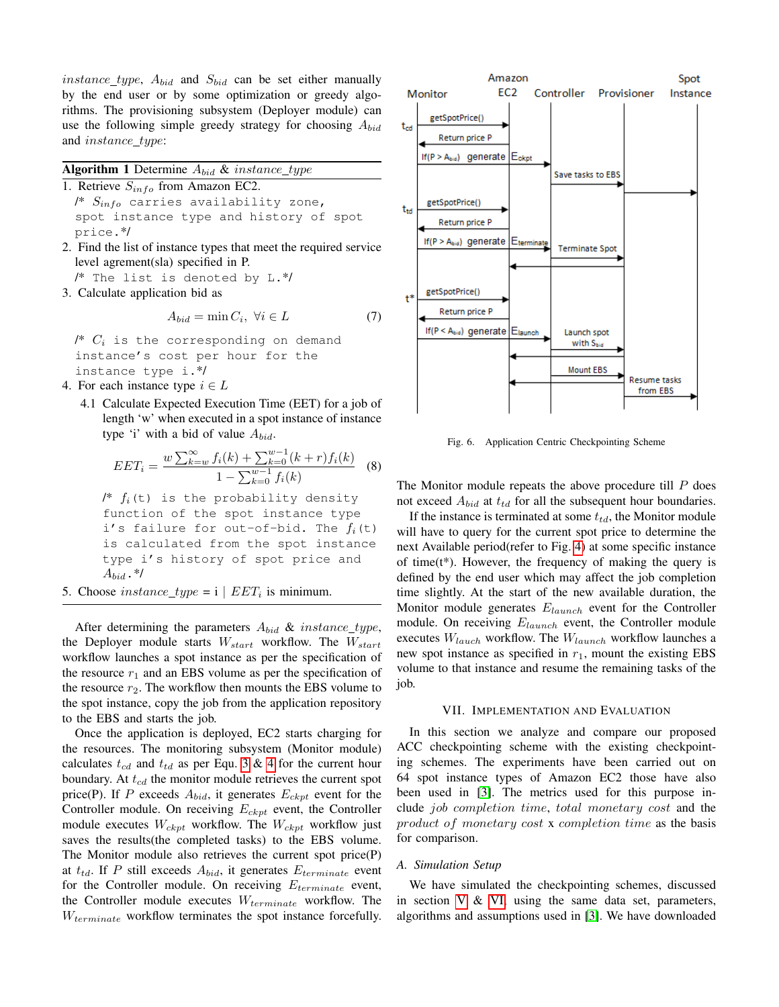*instance\_type*,  $A_{bid}$  and  $S_{bid}$  can be set either manually by the end user or by some optimization or greedy algorithms. The provisioning subsystem (Deployer module) can use the following simple greedy strategy for choosing  $A_{bid}$ and *instance\_type*:

|  |  |                                                                                                                                                                                                                                                                                                                                                                                      |  | <b>Algorithm 1</b> Determine $A_{bid}$ & instance_type |
|--|--|--------------------------------------------------------------------------------------------------------------------------------------------------------------------------------------------------------------------------------------------------------------------------------------------------------------------------------------------------------------------------------------|--|--------------------------------------------------------|
|  |  | $\overline{1}$ $\overline{1}$ $\overline{1}$ $\overline{1}$ $\overline{1}$ $\overline{1}$ $\overline{1}$ $\overline{1}$ $\overline{1}$ $\overline{1}$ $\overline{1}$ $\overline{1}$ $\overline{1}$ $\overline{1}$ $\overline{1}$ $\overline{1}$ $\overline{1}$ $\overline{1}$ $\overline{1}$ $\overline{1}$ $\overline{1}$ $\overline{1}$ $\overline{1}$ $\overline{1}$ $\overline{$ |  |                                                        |

- 1. Retrieve  $S_{info}$  from Amazon EC2. /\*  $S_{info}$  carries availability zone, spot instance type and history of spot price.\*/
- 2. Find the list of instance types that meet the required service level agrement(sla) specified in P.
	- /\* The list is denoted by L.\*/
- 3. Calculate application bid as

$$
A_{bid} = \min C_i, \ \forall i \in L \tag{7}
$$

/\*  $C_i$  is the corresponding on demand instance's cost per hour for the instance type i.\*/

- 4. For each instance type  $i \in L$ 
	- 4.1 Calculate Expected Execution Time (EET) for a job of length 'w' when executed in a spot instance of instance type 'i' with a bid of value  $A_{bid.}$

$$
EET_i = \frac{w\sum_{k=w}^{\infty} f_i(k) + \sum_{k=0}^{w-1} (k+r)f_i(k)}{1 - \sum_{k=0}^{w-1} f_i(k)} \quad (8)
$$

 $\frac{1}{2}$   $f_i(t)$  is the probability density function of the spot instance type i's failure for out-of-bid. The  $f_i(t)$ is calculated from the spot instance type i's history of spot price and  $A_{bid}$ .\*/

5. Choose  $instance\_type = i | EET_i$  is minimum.

After determining the parameters  $A_{bid}$  & instance\_type, the Deployer module starts  $W_{start}$  workflow. The  $W_{start}$ workflow launches a spot instance as per the specification of the resource  $r_1$  and an EBS volume as per the specification of the resource  $r_2$ . The workflow then mounts the EBS volume to the spot instance, copy the job from the application repository to the EBS and starts the job.

Once the application is deployed, EC2 starts charging for the resources. The monitoring subsystem (Monitor module) calculates  $t_{cd}$  and  $t_{td}$  as per Equ. [3](#page-4-1) & [4](#page-4-2) for the current hour boundary. At  $t_{cd}$  the monitor module retrieves the current spot price(P). If P exceeds  $A_{bid}$ , it generates  $E_{ckpt}$  event for the Controller module. On receiving  $E_{ckpt}$  event, the Controller module executes  $W_{ckpt}$  workflow. The  $W_{ckpt}$  workflow just saves the results(the completed tasks) to the EBS volume. The Monitor module also retrieves the current spot price(P) at  $t_{td}$ . If P still exceeds  $A_{bid}$ , it generates  $E_{terminate}$  event for the Controller module. On receiving  $E_{terminate}$  event, the Controller module executes  $W_{terminate}$  workflow. The  $W_{terminate}$  workflow terminates the spot instance forcefully.



<span id="page-5-1"></span>Fig. 6. Application Centric Checkpointing Scheme

The Monitor module repeats the above procedure till P does not exceed  $A_{bid}$  at  $t_{td}$  for all the subsequent hour boundaries.

If the instance is terminated at some  $t_{td}$ , the Monitor module will have to query for the current spot price to determine the next Available period(refer to Fig. [4\)](#page-3-3) at some specific instance of time( $t^*$ ). However, the frequency of making the query is defined by the end user which may affect the job completion time slightly. At the start of the new available duration, the Monitor module generates  $E_{launch}$  event for the Controller module. On receiving  $E_{launch}$  event, the Controller module executes  $W_{lauch}$  workflow. The  $W_{launch}$  workflow launches a new spot instance as specified in  $r_1$ , mount the existing EBS volume to that instance and resume the remaining tasks of the job.

#### VII. IMPLEMENTATION AND EVALUATION

<span id="page-5-0"></span>In this section we analyze and compare our proposed ACC checkpointing scheme with the existing checkpointing schemes. The experiments have been carried out on 64 spot instance types of Amazon EC2 those have also been used in [\[3\]](#page-7-3). The metrics used for this purpose include job completion time, total monetary cost and the product of monetary cost x completion time as the basis for comparison.

#### *A. Simulation Setup*

We have simulated the checkpointing schemes, discussed in section [V](#page-3-1) & [VI,](#page-3-2) using the same data set, parameters, algorithms and assumptions used in [\[3\]](#page-7-3). We have downloaded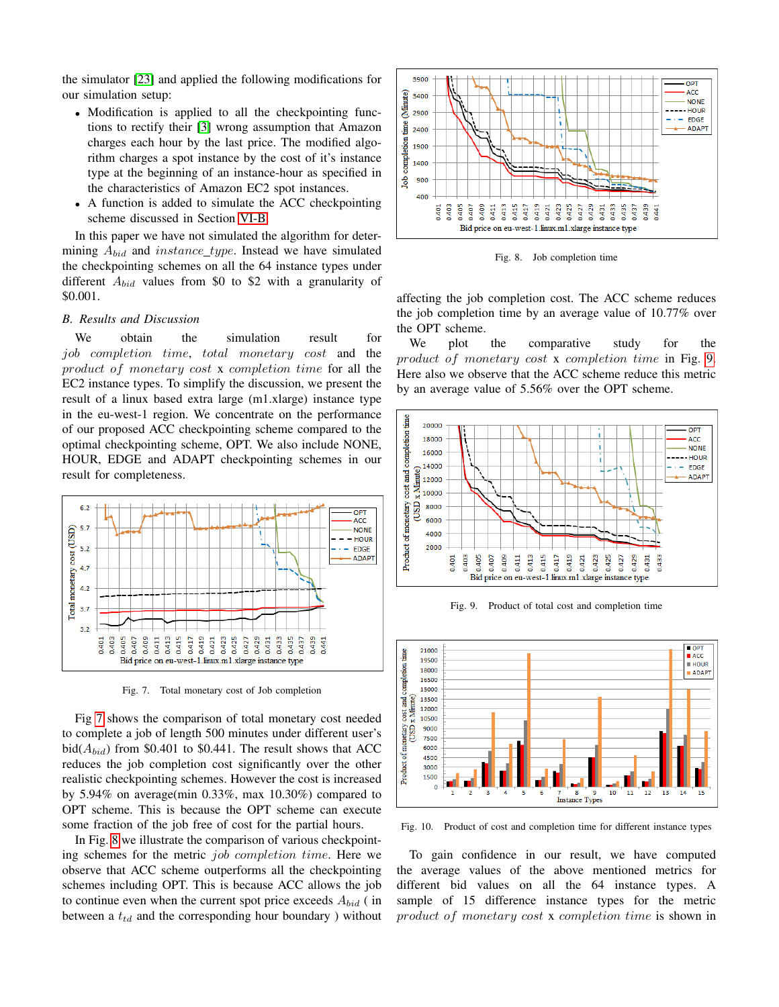the simulator [\[23\]](#page-7-13) and applied the following modifications for our simulation setup:

- Modification is applied to all the checkpointing functions to rectify their [\[3\]](#page-7-3) wrong assumption that Amazon charges each hour by the last price. The modified algorithm charges a spot instance by the cost of it's instance type at the beginning of an instance-hour as specified in the characteristics of Amazon EC2 spot instances.
- A function is added to simulate the ACC checkpointing scheme discussed in Section [VI-B.](#page-4-3)

In this paper we have not simulated the algorithm for determining  $A_{bid}$  and instance\_type. Instead we have simulated the checkpointing schemes on all the 64 instance types under different  $A_{bid}$  values from \$0 to \$2 with a granularity of \$0.001.

### *B. Results and Discussion*

We obtain the simulation result for job completion time, total monetary cost and the product of monetary cost x completion time for all the EC2 instance types. To simplify the discussion, we present the result of a linux based extra large (m1.xlarge) instance type in the eu-west-1 region. We concentrate on the performance of our proposed ACC checkpointing scheme compared to the optimal checkpointing scheme, OPT. We also include NONE, HOUR, EDGE and ADAPT checkpointing schemes in our result for completeness.



<span id="page-6-0"></span>Fig. 7. Total monetary cost of Job completion

Fig [7](#page-6-0) shows the comparison of total monetary cost needed to complete a job of length 500 minutes under different user's bid( $A_{bid}$ ) from \$0.401 to \$0.441. The result shows that ACC reduces the job completion cost significantly over the other realistic checkpointing schemes. However the cost is increased by 5.94% on average(min 0.33%, max 10.30%) compared to OPT scheme. This is because the OPT scheme can execute some fraction of the job free of cost for the partial hours.

In Fig. [8](#page-6-1) we illustrate the comparison of various checkpointing schemes for the metric job completion time. Here we observe that ACC scheme outperforms all the checkpointing schemes including OPT. This is because ACC allows the job to continue even when the current spot price exceeds  $A_{bid}$  (in between a  $t_{td}$  and the corresponding hour boundary ) without



<span id="page-6-1"></span>Fig. 8. Job completion time

affecting the job completion cost. The ACC scheme reduces the job completion time by an average value of 10.77% over the OPT scheme.

We plot the comparative study for the product of monetary cost x completion time in Fig. [9.](#page-6-2) Here also we observe that the ACC scheme reduce this metric by an average value of 5.56% over the OPT scheme.



<span id="page-6-2"></span>Fig. 9. Product of total cost and completion time



<span id="page-6-3"></span>Fig. 10. Product of cost and completion time for different instance types

To gain confidence in our result, we have computed the average values of the above mentioned metrics for different bid values on all the 64 instance types. A sample of 15 difference instance types for the metric product of monetary cost x completion time is shown in